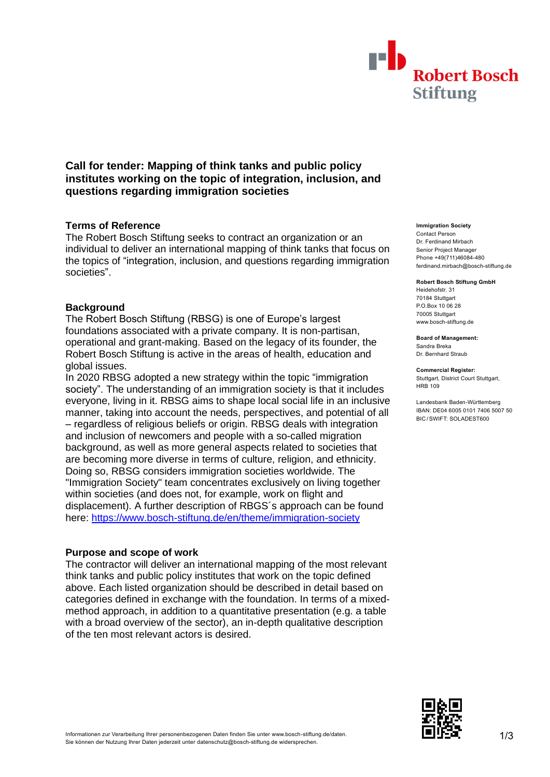

**Call for tender: Mapping of think tanks and public policy institutes working on the topic of integration, inclusion, and questions regarding immigration societies**

### **Terms of Reference**

The Robert Bosch Stiftung seeks to contract an organization or an individual to deliver an international mapping of think tanks that focus on the topics of "integration, inclusion, and questions regarding immigration societies".

# **Background**

The Robert Bosch Stiftung (RBSG) is one of Europe's largest foundations associated with a private company. It is non-partisan, operational and grant-making. Based on the legacy of its founder, the Robert Bosch Stiftung is active in the areas of health, education and global issues.

In 2020 RBSG adopted a new strategy within the topic "immigration society". The understanding of an immigration society is that it includes everyone, living in it. RBSG aims to shape local social life in an inclusive manner, taking into account the needs, perspectives, and potential of all – regardless of religious beliefs or origin. RBSG deals with integration and inclusion of newcomers and people with a so-called migration background, as well as more general aspects related to societies that are becoming more diverse in terms of culture, religion, and ethnicity. Doing so, RBSG considers immigration societies worldwide. The "Immigration Society" team concentrates exclusively on living together within societies (and does not, for example, work on flight and displacement). A further description of RBGS´s approach can be found here:<https://www.bosch-stiftung.de/en/theme/immigration-society>

## **Purpose and scope of work**

The contractor will deliver an international mapping of the most relevant think tanks and public policy institutes that work on the topic defined above. Each listed organization should be described in detail based on categories defined in exchange with the foundation. In terms of a mixedmethod approach, in addition to a quantitative presentation (e.g. a table with a broad overview of the sector), an in-depth qualitative description of the ten most relevant actors is desired.

### **Immigration Society**

Contact Person Dr. Ferdinand Mirbach Senior Project Manager Phone +49(711)46084-480 ferdinand.mirbach@bosch-stiftung.de

#### **Robert Bosch Stiftung GmbH**

Heidehofstr. 31 70184 Stuttgart P.O.Box 10 06 28 70005 Stuttgart www.bosch-stiftung.de

#### **Board of Management:** Sandra Breka

Dr. Bernhard Straub

### **Commercial Register:**

Stuttgart, District Court Stuttgart, HRB 109

Landesbank Baden-Württemberg IBAN: DE04 6005 0101 7406 5007 50 BIC /SWIFT: SOLADEST600

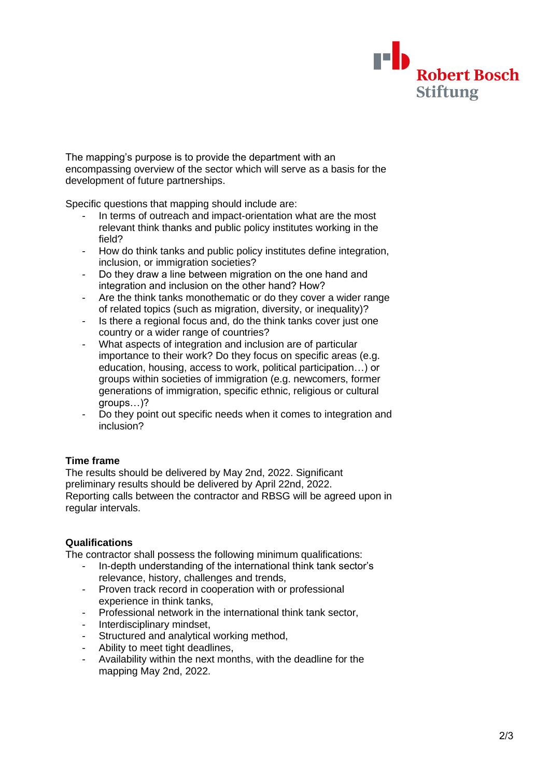

The mapping's purpose is to provide the department with an encompassing overview of the sector which will serve as a basis for the development of future partnerships.

Specific questions that mapping should include are:

- In terms of outreach and impact-orientation what are the most relevant think thanks and public policy institutes working in the field?
- How do think tanks and public policy institutes define integration, inclusion, or immigration societies?
- Do they draw a line between migration on the one hand and integration and inclusion on the other hand? How?
- Are the think tanks monothematic or do they cover a wider range of related topics (such as migration, diversity, or inequality)?
- Is there a regional focus and, do the think tanks cover just one country or a wider range of countries?
- What aspects of integration and inclusion are of particular importance to their work? Do they focus on specific areas (e.g. education, housing, access to work, political participation…) or groups within societies of immigration (e.g. newcomers, former generations of immigration, specific ethnic, religious or cultural groups…)?
- Do they point out specific needs when it comes to integration and inclusion?

# **Time frame**

The results should be delivered by May 2nd, 2022. Significant preliminary results should be delivered by April 22nd, 2022. Reporting calls between the contractor and RBSG will be agreed upon in regular intervals.

# **Qualifications**

The contractor shall possess the following minimum qualifications:

- In-depth understanding of the international think tank sector's relevance, history, challenges and trends,
- Proven track record in cooperation with or professional experience in think tanks,
- Professional network in the international think tank sector,
- Interdisciplinary mindset,
- Structured and analytical working method,
- Ability to meet tight deadlines,
- Availability within the next months, with the deadline for the mapping May 2nd, 2022.